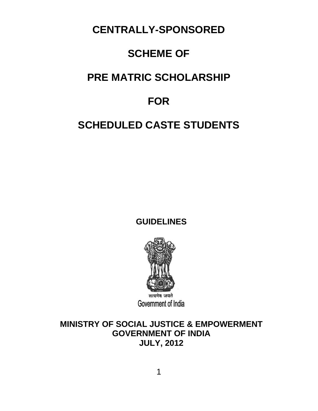**CENTRALLY-SPONSORED** 

# **SCHEME OF**

# **PRE MATRIC SCHOLARSHIP**

# **FOR**

# **SCHEDULED CASTE STUDENTS**

**GUIDELINES** 



**MINISTRY OF SOCIAL JUSTICE & EMPOWERMENT GOVERNMENT OF INDIA JULY, 2012**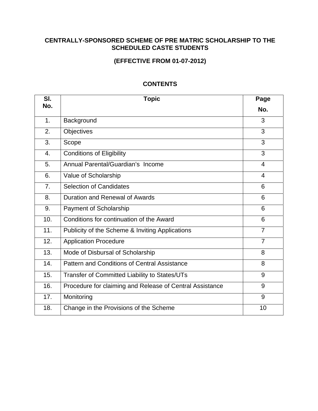### **CENTRALLY-SPONSORED SCHEME OF PRE MATRIC SCHOLARSHIP TO THE SCHEDULED CASTE STUDENTS**

## **(EFFECTIVE FROM 01-07-2012)**

| SI.            | <b>Topic</b>                                             | Page           |
|----------------|----------------------------------------------------------|----------------|
| No.            |                                                          | No.            |
| 1.             | Background                                               | 3              |
| 2.             | <b>Objectives</b>                                        | 3              |
| 3.             | Scope                                                    | 3              |
| 4.             | <b>Conditions of Eligibility</b>                         | 3              |
| 5.             | Annual Parental/Guardian's Income                        | 4              |
| 6.             | Value of Scholarship                                     | 4              |
| 7 <sub>1</sub> | <b>Selection of Candidates</b>                           | 6              |
| 8.             | <b>Duration and Renewal of Awards</b>                    | 6              |
| 9.             | Payment of Scholarship                                   | 6              |
| 10.            | Conditions for continuation of the Award                 | 6              |
| 11.            | Publicity of the Scheme & Inviting Applications          | $\overline{7}$ |
| 12.            | <b>Application Procedure</b>                             | $\overline{7}$ |
| 13.            | Mode of Disbursal of Scholarship                         | 8              |
| 14.            | Pattern and Conditions of Central Assistance             | 8              |
| 15.            | Transfer of Committed Liability to States/UTs            | 9              |
| 16.            | Procedure for claiming and Release of Central Assistance | 9              |
| 17.            | Monitoring                                               | 9              |
| 18.            | Change in the Provisions of the Scheme                   | 10             |

### **CONTENTS**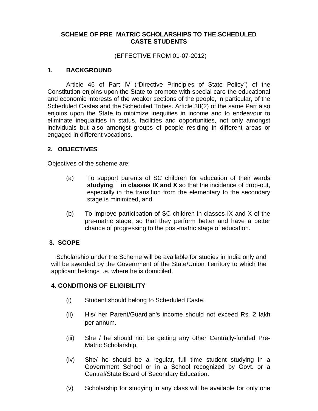### **SCHEME OF PRE MATRIC SCHOLARSHIPS TO THE SCHEDULED CASTE STUDENTS**

#### (EFFECTIVE FROM 01-07-2012)

#### **1. BACKGROUND**

Article 46 of Part IV ("Directive Principles of State Policy") of the Constitution enjoins upon the State to promote with special care the educational and economic interests of the weaker sections of the people, in particular, of the Scheduled Castes and the Scheduled Tribes. Article 38(2) of the same Part also enjoins upon the State to minimize inequities in income and to endeavour to eliminate inequalities in status, facilities and opportunities, not only amongst individuals but also amongst groups of people residing in different areas or engaged in different vocations.

#### **2. OBJECTIVES**

Objectives of the scheme are:

- (a) To support parents of SC children for education of their wards **studying in classes IX and X** so that the incidence of drop-out, especially in the transition from the elementary to the secondary stage is minimized, and
- (b) To improve participation of SC children in classes IX and X of the pre-matric stage, so that they perform better and have a better chance of progressing to the post-matric stage of education.

#### **3. SCOPE**

Scholarship under the Scheme will be available for studies in India only and will be awarded by the Government of the State/Union Territory to which the applicant belongs i.e. where he is domiciled.

#### **4. CONDITIONS OF ELIGIBILITY**

- (i) Student should belong to Scheduled Caste.
- (ii) His/ her Parent/Guardian's income should not exceed Rs. 2 lakh per annum.
- (iii) She / he should not be getting any other Centrally-funded Pre-Matric Scholarship.
- (iv) She/ he should be a regular, full time student studying in a Government School or in a School recognized by Govt. or a Central/State Board of Secondary Education.
- (v) Scholarship for studying in any class will be available for only one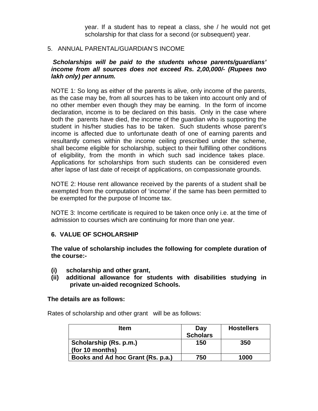year. If a student has to repeat a class, she / he would not get scholarship for that class for a second (or subsequent) year.

#### 5. ANNUAL PARENTAL/GUARDIAN'S INCOME

#### *Scholarships will be paid to the students whose parents/guardians' income from all sources does not exceed Rs. 2,00,000/- (Rupees two lakh only) per annum.*

NOTE 1: So long as either of the parents is alive, only income of the parents, as the case may be, from all sources has to be taken into account only and of no other member even though they may be earning. In the form of income declaration, income is to be declared on this basis. Only in the case where both the parents have died, the income of the guardian who is supporting the student in his/her studies has to be taken. Such students whose parent's income is affected due to unfortunate death of one of earning parents and resultantly comes within the income ceiling prescribed under the scheme, shall become eligible for scholarship, subject to their fulfilling other conditions of eligibility, from the month in which such sad incidence takes place. Applications for scholarships from such students can be considered even after lapse of last date of receipt of applications, on compassionate grounds.

NOTE 2: House rent allowance received by the parents of a student shall be exempted from the computation of 'income' if the same has been permitted to be exempted for the purpose of Income tax.

NOTE 3: Income certificate is required to be taken once only i.e. at the time of admission to courses which are continuing for more than one year.

#### **6. VALUE OF SCHOLARSHIP**

**The value of scholarship includes the following for complete duration of the course:-** 

- **(i) scholarship and other grant,**
- **(ii) additional allowance for students with disabilities studying in private un-aided recognized Schools.**

#### **The details are as follows:**

Rates of scholarship and other grant will be as follows:

| <b>Item</b>                               | Day<br><b>Scholars</b> | <b>Hostellers</b> |
|-------------------------------------------|------------------------|-------------------|
| Scholarship (Rs. p.m.)<br>(for 10 months) | 150                    | 350               |
| Books and Ad hoc Grant (Rs. p.a.)         | 750                    | 1000              |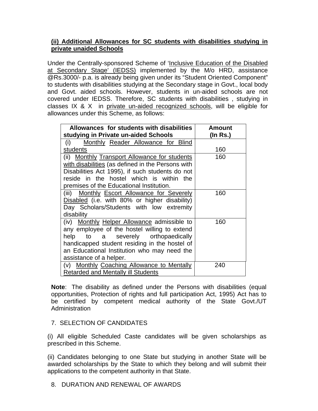### **(ii) Additional Allowances for SC students with disabilities studying in private unaided Schools**

Under the Centrally-sponsored Scheme of 'Inclusive Education of the Disabled at Secondary Stage' (IEDSS) implemented by the M/o HRD, assistance @Rs.3000/- p.a. is already being given under its "Student Oriented Component" to students with disabilities studying at the Secondary stage in Govt., local body and Govt. aided schools. However, students in un-aided schools are not covered under IEDSS. Therefore, SC students with disabilities , studying in classes IX & X in private un-aided recognized schools, will be eligible for allowances under this Scheme, as follows:

| Allowances for students with disabilities         | <b>Amount</b> |
|---------------------------------------------------|---------------|
| studying in Private un-aided Schools              | (In Rs.)      |
| Monthly Reader Allowance for Blind<br>(i)         |               |
| students                                          | 160           |
| (ii) Monthly Transport Allowance for students     | 160           |
| with disabilities (as defined in the Persons with |               |
| Disabilities Act 1995), if such students do not   |               |
| reside in the hostel which is within the          |               |
| premises of the Educational Institution.          |               |
| (iii) Monthly Escort Allowance for Severely       | 160           |
| Disabled (i.e. with 80% or higher disability)     |               |
| Day Scholars/Students with low extremity          |               |
| disability                                        |               |
| (iv) Monthly Helper Allowance admissible to       | 160           |
| any employee of the hostel willing to extend      |               |
| help to a severely orthopaedically                |               |
| handicapped student residing in the hostel of     |               |
| an Educational Institution who may need the       |               |
| assistance of a helper.                           |               |
| (v) Monthly Coaching Allowance to Mentally        | 240           |
| <b>Retarded and Mentally ill Students</b>         |               |

**Note**: The disability as defined under the Persons with disabilities (equal opportunities, Protection of rights and full participation Act, 1995) Act has to be certified by competent medical authority of the State Govt./UT Administration

## 7. SELECTION OF CANDIDATES

(i) All eligible Scheduled Caste candidates will be given scholarships as prescribed in this Scheme.

(ii) Candidates belonging to one State but studying in another State will be awarded scholarships by the State to which they belong and will submit their applications to the competent authority in that State.

8. DURATION AND RENEWAL OF AWARDS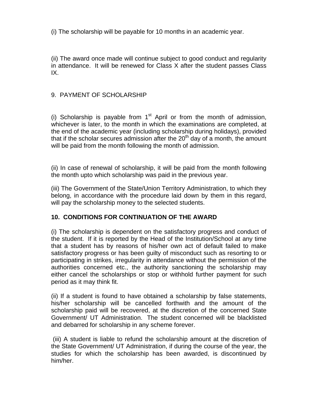(i) The scholarship will be payable for 10 months in an academic year.

(ii) The award once made will continue subject to good conduct and regularity in attendance. It will be renewed for Class X after the student passes Class IX.

## 9. PAYMENT OF SCHOLARSHIP

(i) Scholarship is payable from  $1<sup>st</sup>$  April or from the month of admission, whichever is later, to the month in which the examinations are completed, at the end of the academic year (including scholarship during holidays), provided that if the scholar secures admission after the  $20<sup>th</sup>$  day of a month, the amount will be paid from the month following the month of admission.

(ii) In case of renewal of scholarship, it will be paid from the month following the month upto which scholarship was paid in the previous year.

(iii) The Government of the State/Union Territory Administration, to which they belong, in accordance with the procedure laid down by them in this regard, will pay the scholarship money to the selected students.

## **10. CONDITIONS FOR CONTINUATION OF THE AWARD**

(i) The scholarship is dependent on the satisfactory progress and conduct of the student. If it is reported by the Head of the Institution/School at any time that a student has by reasons of his/her own act of default failed to make satisfactory progress or has been guilty of misconduct such as resorting to or participating in strikes, irregularity in attendance without the permission of the authorities concerned etc., the authority sanctioning the scholarship may either cancel the scholarships or stop or withhold further payment for such period as it may think fit.

(ii) If a student is found to have obtained a scholarship by false statements, his/her scholarship will be cancelled forthwith and the amount of the scholarship paid will be recovered, at the discretion of the concerned State Government/ UT Administration. The student concerned will be blacklisted and debarred for scholarship in any scheme forever.

 (iii) A student is liable to refund the scholarship amount at the discretion of the State Government/ UT Administration, if during the course of the year, the studies for which the scholarship has been awarded, is discontinued by him/her.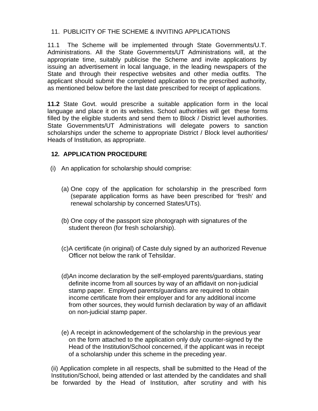## 11. PUBLICITY OF THE SCHEME & INVITING APPLICATIONS

11.1 The Scheme will be implemented through State Governments/U.T. Administrations. All the State Governments/UT Administrations will, at the appropriate time, suitably publicise the Scheme and invite applications by issuing an advertisement in local language, in the leading newspapers of the State and through their respective websites and other media outfits. The applicant should submit the completed application to the prescribed authority, as mentioned below before the last date prescribed for receipt of applications.

**11.2** State Govt. would prescribe a suitable application form in the local language and place it on its websites. School authorities will get these forms filled by the eligible students and send them to Block / District level authorities. State Governments/UT Administrations will delegate powers to sanction scholarships under the scheme to appropriate District / Block level authorities/ Heads of Institution, as appropriate.

## **12***.* **APPLICATION PROCEDURE**

- (i) An application for scholarship should comprise:
	- (a) One copy of the application for scholarship in the prescribed form (separate application forms as have been prescribed for 'fresh' and renewal scholarship by concerned States/UTs).
	- (b) One copy of the passport size photograph with signatures of the student thereon (for fresh scholarship).
	- (c) A certificate (in original) of Caste duly signed by an authorized Revenue Officer not below the rank of Tehsildar.
	- (d)An income declaration by the self-employed parents/guardians, stating definite income from all sources by way of an affidavit on non-judicial stamp paper. Employed parents/guardians are required to obtain income certificate from their employer and for any additional income from other sources, they would furnish declaration by way of an affidavit on non-judicial stamp paper.
	- (e) A receipt in acknowledgement of the scholarship in the previous year on the form attached to the application only duly counter-signed by the Head of the Institution/School concerned, if the applicant was in receipt of a scholarship under this scheme in the preceding year.

(ii) Application complete in all respects, shall be submitted to the Head of the Institution/School, being attended or last attended by the candidates and shall be forwarded by the Head of Institution, after scrutiny and with his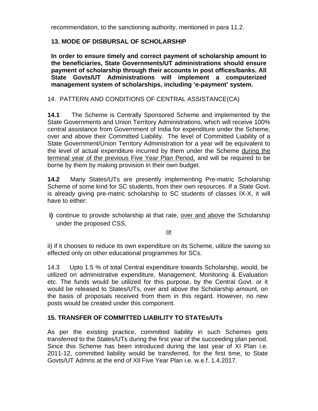recommendation, to the sanctioning authority, mentioned in para 11.2.

## **13. MODE OF DISBURSAL OF SCHOLARSHIP**

**In order to ensure timely and correct payment of scholarship amount to the beneficiaries, State Governments/UT administrations should ensure payment of scholarship through their accounts in post offices/banks. All State Govts/UT Administrations will implement a computerized management system of scholarships, including 'e-payment' system.**

14. PATTERN AND CONDITIONS OF CENTRAL ASSISTANCE(CA)

**14.1** The Scheme is Centrally Sponsored Scheme and implemented by the State Governments and Union Territory Administrations, which will receive 100% central assistance from Government of India for expenditure under the Scheme, over and above their Committed Liability. The level of Committed Liability of a State Government/Union Territory Administration for a year will be equivalent to the level of actual expenditure incurred by them under the Scheme during the terminal year of the previous Five Year Plan Period, and will be required to be borne by them by making provision in their own budget.

**14.2**Many States/UTs are presently implementing Pre-matric Scholarship Scheme of some kind for SC students, from their own resources. If a State Govt. is already giving pre-matric scholarship to SC students of classes IX-X, it will have to either:

**i)** continue to provide scholarship at that rate, over and above the Scholarship under the proposed CSS,

or

ii) if it chooses to reduce its own expenditure on its Scheme, utilize the saving so effected only on other educational programmes for SCs.

14.3 Upto 1.5 % of total Central expenditure towards Scholarship, would, be utilized on administrative expenditure, Management, Monitoring & Evaluation etc. The funds would be utilized for this purpose, by the Central Govt. or it would be released to States/UTs, over and above the Scholarship amount, on the basis of proposals received from them in this regard. However, no new posts would be created under this component.

#### **15. TRANSFER OF COMMITTED LIABILITY TO STATEs/UTs**

As per the existing practice, committed liability in such Schemes gets transferred to the States/UTs during the first year of the succeeding plan period. Since this Scheme has been introduced during the last year of XI Plan i.e. 2011-12, committed liability would be transferred, for the first time, to State Govts/UT Admns at the end of XII Five Year Plan i.e. w.e.f. 1.4.2017.